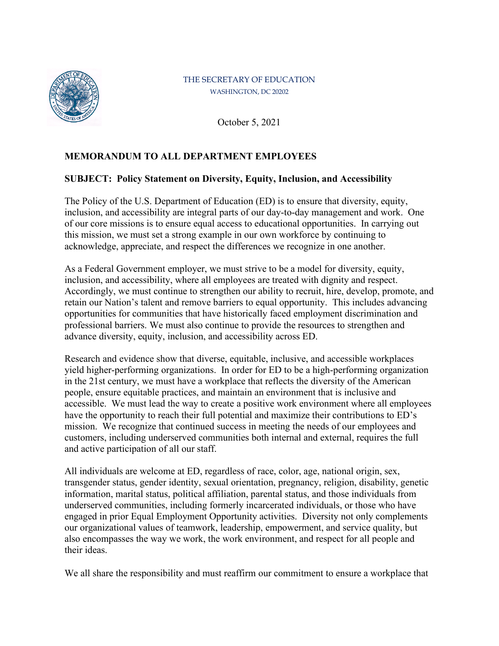

## THE SECRETARY OF EDUCATION WASHINGTON, DC 20202

October 5, 2021

## **MEMORANDUM TO ALL DEPARTMENT EMPLOYEES**

## **SUBJECT: Policy Statement on Diversity, Equity, Inclusion, and Accessibility**

The Policy of the U.S. Department of Education (ED) is to ensure that diversity, equity, inclusion, and accessibility are integral parts of our day-to-day management and work. One of our core missions is to ensure equal access to educational opportunities. In carrying out this mission, we must set a strong example in our own workforce by continuing to acknowledge, appreciate, and respect the differences we recognize in one another.

As a Federal Government employer, we must strive to be a model for diversity, equity, inclusion, and accessibility, where all employees are treated with dignity and respect. Accordingly, we must continue to strengthen our ability to recruit, hire, develop, promote, and retain our Nation's talent and remove barriers to equal opportunity. This includes advancing opportunities for communities that have historically faced employment discrimination and professional barriers. We must also continue to provide the resources to strengthen and advance diversity, equity, inclusion, and accessibility across ED.

Research and evidence show that diverse, equitable, inclusive, and accessible workplaces yield higher-performing organizations. In order for ED to be a high-performing organization in the 21st century, we must have a workplace that reflects the diversity of the American people, ensure equitable practices, and maintain an environment that is inclusive and accessible. We must lead the way to create a positive work environment where all employees have the opportunity to reach their full potential and maximize their contributions to ED's mission. We recognize that continued success in meeting the needs of our employees and customers, including underserved communities both internal and external, requires the full and active participation of all our staff.

All individuals are welcome at ED, regardless of race, color, age, national origin, sex, transgender status, gender identity, sexual orientation, pregnancy, religion, disability, genetic information, marital status, political affiliation, parental status, and those individuals from underserved communities, including formerly incarcerated individuals, or those who have engaged in prior Equal Employment Opportunity activities. Diversity not only complements our organizational values of teamwork, leadership, empowerment, and service quality, but also encompasses the way we work, the work environment, and respect for all people and their ideas.

We all share the responsibility and must reaffirm our commitment to ensure a workplace that